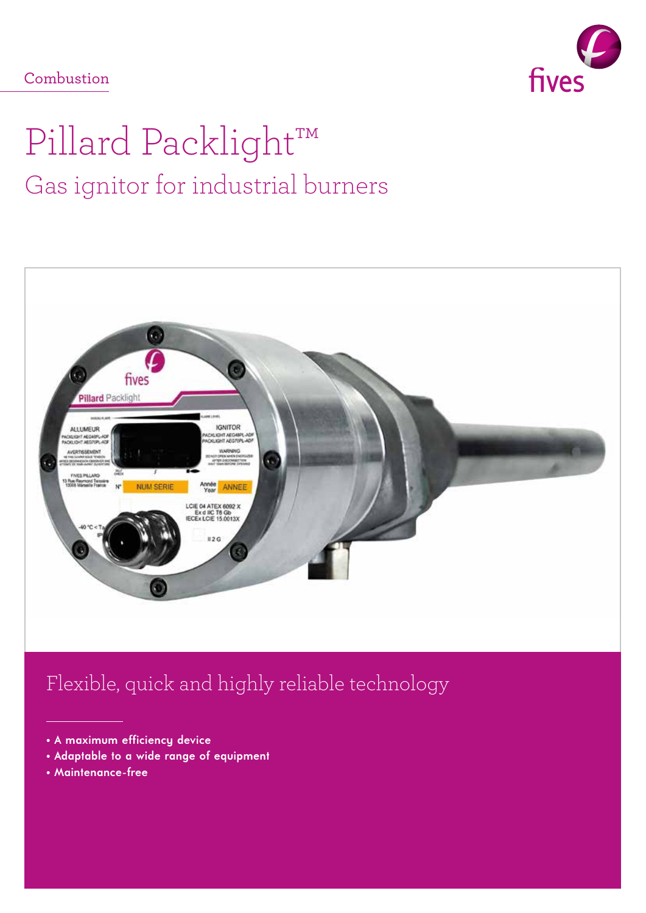### Combustion



# Pillard Packlight™ Gas ignitor for industrial burners



## Flexible, quick and highly reliable technology

- • **A maximum efficiency device**
- • **Adaptable to a wide range of equipment**
- • **Maintenance-free**